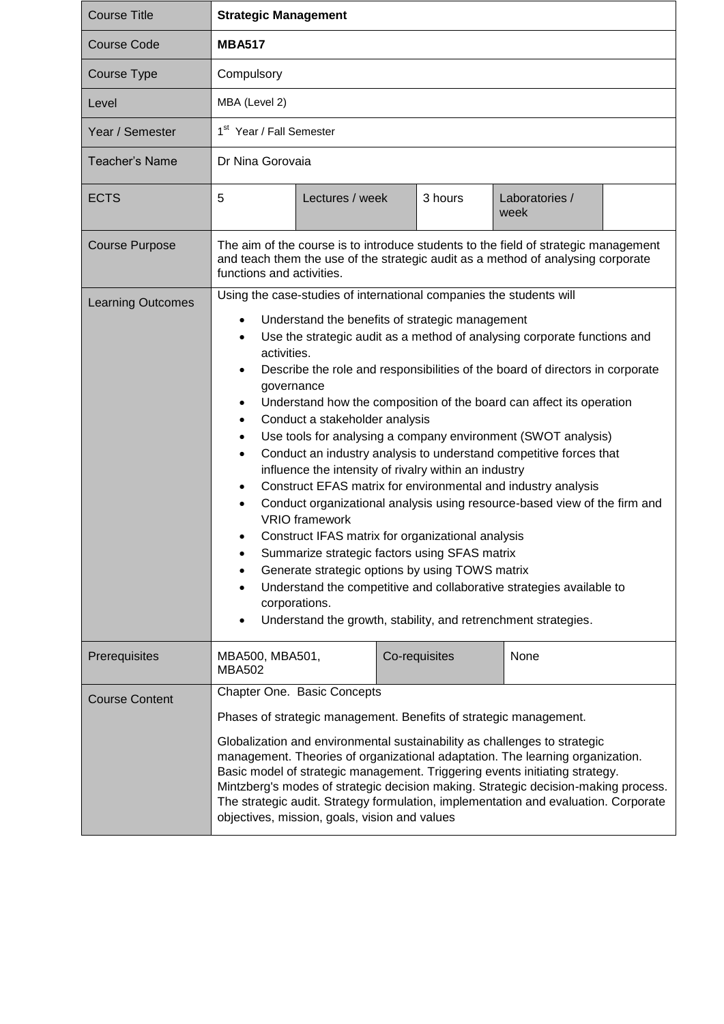| <b>Course Title</b>      | <b>Strategic Management</b>                                                                                                                                                                                                                                                                                                                                                                                                                                                                                                                                                                                                                                                                                                                                                                                                                                                                                                                                                                                                                                                                                                                                                                                           |               |                        |  |  |
|--------------------------|-----------------------------------------------------------------------------------------------------------------------------------------------------------------------------------------------------------------------------------------------------------------------------------------------------------------------------------------------------------------------------------------------------------------------------------------------------------------------------------------------------------------------------------------------------------------------------------------------------------------------------------------------------------------------------------------------------------------------------------------------------------------------------------------------------------------------------------------------------------------------------------------------------------------------------------------------------------------------------------------------------------------------------------------------------------------------------------------------------------------------------------------------------------------------------------------------------------------------|---------------|------------------------|--|--|
| <b>Course Code</b>       | <b>MBA517</b>                                                                                                                                                                                                                                                                                                                                                                                                                                                                                                                                                                                                                                                                                                                                                                                                                                                                                                                                                                                                                                                                                                                                                                                                         |               |                        |  |  |
| Course Type              | Compulsory                                                                                                                                                                                                                                                                                                                                                                                                                                                                                                                                                                                                                                                                                                                                                                                                                                                                                                                                                                                                                                                                                                                                                                                                            |               |                        |  |  |
| Level                    | MBA (Level 2)                                                                                                                                                                                                                                                                                                                                                                                                                                                                                                                                                                                                                                                                                                                                                                                                                                                                                                                                                                                                                                                                                                                                                                                                         |               |                        |  |  |
| Year / Semester          | 1 <sup>st</sup> Year / Fall Semester                                                                                                                                                                                                                                                                                                                                                                                                                                                                                                                                                                                                                                                                                                                                                                                                                                                                                                                                                                                                                                                                                                                                                                                  |               |                        |  |  |
| <b>Teacher's Name</b>    | Dr Nina Gorovaia                                                                                                                                                                                                                                                                                                                                                                                                                                                                                                                                                                                                                                                                                                                                                                                                                                                                                                                                                                                                                                                                                                                                                                                                      |               |                        |  |  |
| <b>ECTS</b>              | 5<br>Lectures / week                                                                                                                                                                                                                                                                                                                                                                                                                                                                                                                                                                                                                                                                                                                                                                                                                                                                                                                                                                                                                                                                                                                                                                                                  | 3 hours       | Laboratories /<br>week |  |  |
| <b>Course Purpose</b>    | The aim of the course is to introduce students to the field of strategic management<br>and teach them the use of the strategic audit as a method of analysing corporate<br>functions and activities.                                                                                                                                                                                                                                                                                                                                                                                                                                                                                                                                                                                                                                                                                                                                                                                                                                                                                                                                                                                                                  |               |                        |  |  |
| <b>Learning Outcomes</b> | Using the case-studies of international companies the students will<br>Understand the benefits of strategic management<br>$\bullet$<br>Use the strategic audit as a method of analysing corporate functions and<br>$\bullet$<br>activities.<br>Describe the role and responsibilities of the board of directors in corporate<br>$\bullet$<br>governance<br>Understand how the composition of the board can affect its operation<br>$\bullet$<br>Conduct a stakeholder analysis<br>٠<br>Use tools for analysing a company environment (SWOT analysis)<br>$\bullet$<br>Conduct an industry analysis to understand competitive forces that<br>$\bullet$<br>influence the intensity of rivalry within an industry<br>Construct EFAS matrix for environmental and industry analysis<br>$\bullet$<br>Conduct organizational analysis using resource-based view of the firm and<br><b>VRIO</b> framework<br>Construct IFAS matrix for organizational analysis<br>Summarize strategic factors using SFAS matrix<br>Generate strategic options by using TOWS matrix<br>Understand the competitive and collaborative strategies available to<br>corporations.<br>Understand the growth, stability, and retrenchment strategies. |               |                        |  |  |
| Prerequisites            | MBA500, MBA501,<br><b>MBA502</b>                                                                                                                                                                                                                                                                                                                                                                                                                                                                                                                                                                                                                                                                                                                                                                                                                                                                                                                                                                                                                                                                                                                                                                                      | Co-requisites | None                   |  |  |
| <b>Course Content</b>    | Chapter One. Basic Concepts                                                                                                                                                                                                                                                                                                                                                                                                                                                                                                                                                                                                                                                                                                                                                                                                                                                                                                                                                                                                                                                                                                                                                                                           |               |                        |  |  |
|                          | Phases of strategic management. Benefits of strategic management.<br>Globalization and environmental sustainability as challenges to strategic<br>management. Theories of organizational adaptation. The learning organization.                                                                                                                                                                                                                                                                                                                                                                                                                                                                                                                                                                                                                                                                                                                                                                                                                                                                                                                                                                                       |               |                        |  |  |
|                          | Basic model of strategic management. Triggering events initiating strategy.<br>Mintzberg's modes of strategic decision making. Strategic decision-making process.<br>The strategic audit. Strategy formulation, implementation and evaluation. Corporate<br>objectives, mission, goals, vision and values                                                                                                                                                                                                                                                                                                                                                                                                                                                                                                                                                                                                                                                                                                                                                                                                                                                                                                             |               |                        |  |  |